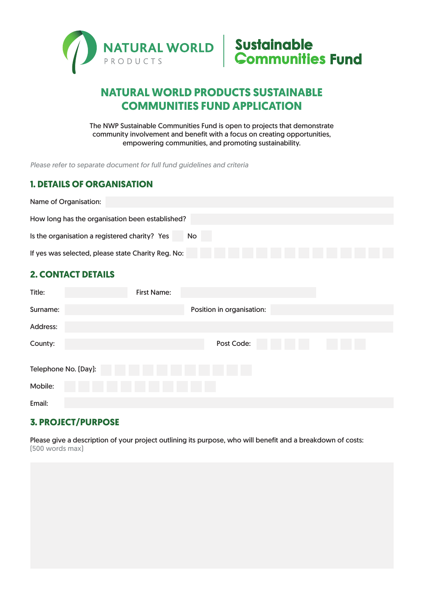



# **NATURAL WORLD PRODUCTS SUSTAINABLE COMMUNITIES FUND APPLICATION**

The NWP Sustainable Communities Fund is open to projects that demonstrate community involvement and benefit with a focus on creating opportunities, empowering communities, and promoting sustainability.

*Please refer to separate document for full fund guidelines and criteria*

#### **1. DETAILS OF ORGANISATION**

| Name of Organisation:                                      |  |
|------------------------------------------------------------|--|
| How long has the organisation been established?            |  |
| Is the organisation a registered charity? Yes<br><b>No</b> |  |
| If yes was selected, please state Charity Reg. No:         |  |

#### **2. CONTACT DETAILS**

| <b>First Name:</b> |                           |  |
|--------------------|---------------------------|--|
|                    | Position in organisation: |  |
|                    |                           |  |
|                    | Post Code:                |  |
|                    |                           |  |
|                    |                           |  |
|                    |                           |  |
|                    | Telephone No. (Day):      |  |

## **3. PROJECT/PURPOSE**

Please give a description of your project outlining its purpose, who will benefit and a breakdown of costs: (500 words max)